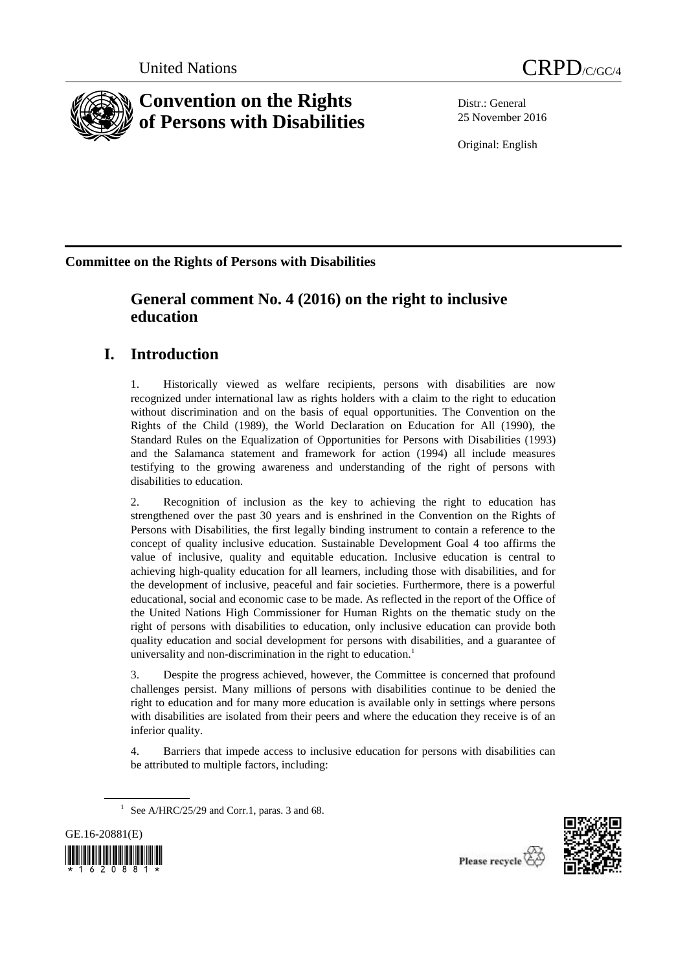



# **Convention on the Rights of Persons with Disabilities**

Distr.: General 25 November 2016

Original: English

**Committee on the Rights of Persons with Disabilities**

# **General comment No. 4 (2016) on the right to inclusive education**

# **I. Introduction**

1. Historically viewed as welfare recipients, persons with disabilities are now recognized under international law as rights holders with a claim to the right to education without discrimination and on the basis of equal opportunities. The Convention on the Rights of the Child (1989), the World Declaration on Education for All (1990), the Standard Rules on the Equalization of Opportunities for Persons with Disabilities (1993) and the Salamanca statement and framework for action (1994) all include measures testifying to the growing awareness and understanding of the right of persons with disabilities to education.

2. Recognition of inclusion as the key to achieving the right to education has strengthened over the past 30 years and is enshrined in the Convention on the Rights of Persons with Disabilities, the first legally binding instrument to contain a reference to the concept of quality inclusive education. Sustainable Development Goal 4 too affirms the value of inclusive, quality and equitable education. Inclusive education is central to achieving high-quality education for all learners, including those with disabilities, and for the development of inclusive, peaceful and fair societies. Furthermore, there is a powerful educational, social and economic case to be made. As reflected in the report of the Office of the United Nations High Commissioner for Human Rights on the thematic study on the right of persons with disabilities to education, only inclusive education can provide both quality education and social development for persons with disabilities, and a guarantee of universality and non-discrimination in the right to education.<sup>1</sup>

3. Despite the progress achieved, however, the Committee is concerned that profound challenges persist. Many millions of persons with disabilities continue to be denied the right to education and for many more education is available only in settings where persons with disabilities are isolated from their peers and where the education they receive is of an inferior quality.

4. Barriers that impede access to inclusive education for persons with disabilities can be attributed to multiple factors, including:

<sup>&</sup>lt;sup>1</sup> See A/HRC/25/29 and Corr.1, paras. 3 and 68.





Please recycle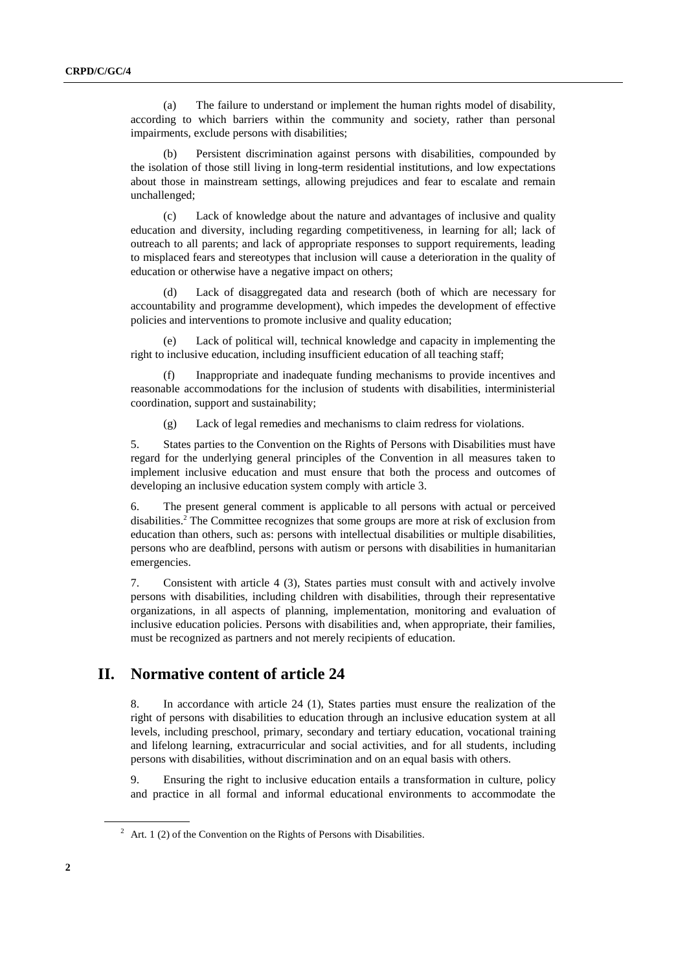(a) The failure to understand or implement the human rights model of disability, according to which barriers within the community and society, rather than personal impairments, exclude persons with disabilities;

(b) Persistent discrimination against persons with disabilities, compounded by the isolation of those still living in long-term residential institutions, and low expectations about those in mainstream settings, allowing prejudices and fear to escalate and remain unchallenged;

(c) Lack of knowledge about the nature and advantages of inclusive and quality education and diversity, including regarding competitiveness, in learning for all; lack of outreach to all parents; and lack of appropriate responses to support requirements, leading to misplaced fears and stereotypes that inclusion will cause a deterioration in the quality of education or otherwise have a negative impact on others;

(d) Lack of disaggregated data and research (both of which are necessary for accountability and programme development), which impedes the development of effective policies and interventions to promote inclusive and quality education;

(e) Lack of political will, technical knowledge and capacity in implementing the right to inclusive education, including insufficient education of all teaching staff;

(f) Inappropriate and inadequate funding mechanisms to provide incentives and reasonable accommodations for the inclusion of students with disabilities, interministerial coordination, support and sustainability;

(g) Lack of legal remedies and mechanisms to claim redress for violations.

5. States parties to the Convention on the Rights of Persons with Disabilities must have regard for the underlying general principles of the Convention in all measures taken to implement inclusive education and must ensure that both the process and outcomes of developing an inclusive education system comply with article 3.

6. The present general comment is applicable to all persons with actual or perceived disabilities.<sup>2</sup> The Committee recognizes that some groups are more at risk of exclusion from education than others, such as: persons with intellectual disabilities or multiple disabilities, persons who are deafblind, persons with autism or persons with disabilities in humanitarian emergencies.

7. Consistent with article 4 (3), States parties must consult with and actively involve persons with disabilities, including children with disabilities, through their representative organizations, in all aspects of planning, implementation, monitoring and evaluation of inclusive education policies. Persons with disabilities and, when appropriate, their families, must be recognized as partners and not merely recipients of education.

### **II. Normative content of article 24**

8. In accordance with article 24 (1), States parties must ensure the realization of the right of persons with disabilities to education through an inclusive education system at all levels, including preschool, primary, secondary and tertiary education, vocational training and lifelong learning, extracurricular and social activities, and for all students, including persons with disabilities, without discrimination and on an equal basis with others.

9. Ensuring the right to inclusive education entails a transformation in culture, policy and practice in all formal and informal educational environments to accommodate the

 $2$  Art. 1 (2) of the Convention on the Rights of Persons with Disabilities.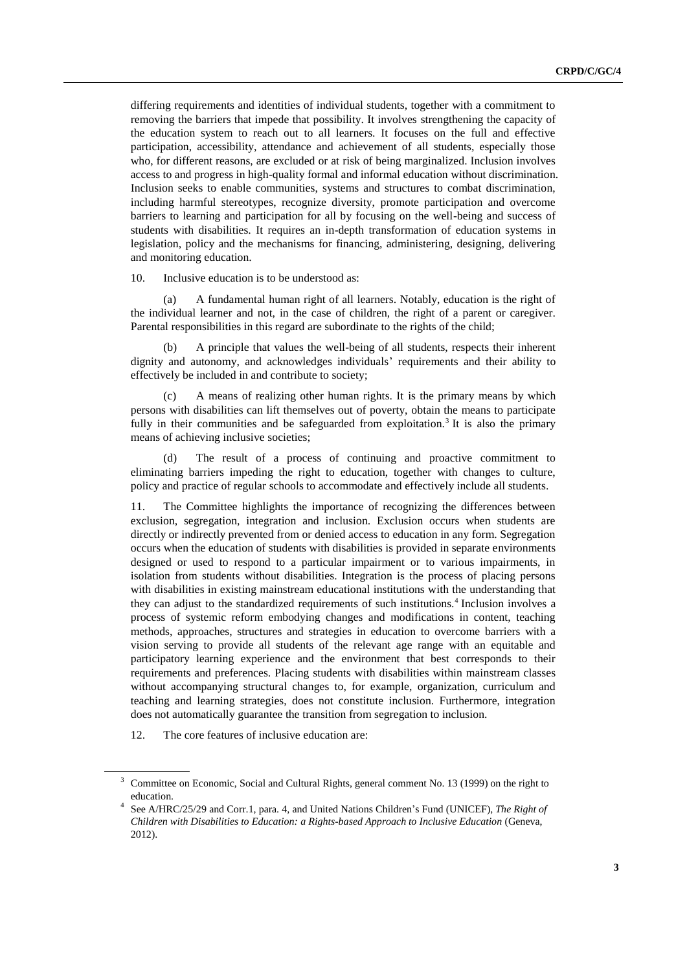differing requirements and identities of individual students, together with a commitment to removing the barriers that impede that possibility. It involves strengthening the capacity of the education system to reach out to all learners. It focuses on the full and effective participation, accessibility, attendance and achievement of all students, especially those who, for different reasons, are excluded or at risk of being marginalized. Inclusion involves access to and progress in high-quality formal and informal education without discrimination. Inclusion seeks to enable communities, systems and structures to combat discrimination, including harmful stereotypes, recognize diversity, promote participation and overcome barriers to learning and participation for all by focusing on the well-being and success of students with disabilities. It requires an in-depth transformation of education systems in legislation, policy and the mechanisms for financing, administering, designing, delivering and monitoring education.

10. Inclusive education is to be understood as:

(a) A fundamental human right of all learners. Notably, education is the right of the individual learner and not, in the case of children, the right of a parent or caregiver. Parental responsibilities in this regard are subordinate to the rights of the child;

(b) A principle that values the well-being of all students, respects their inherent dignity and autonomy, and acknowledges individuals' requirements and their ability to effectively be included in and contribute to society;

(c) A means of realizing other human rights. It is the primary means by which persons with disabilities can lift themselves out of poverty, obtain the means to participate fully in their communities and be safeguarded from exploitation.<sup>3</sup> It is also the primary means of achieving inclusive societies;

(d) The result of a process of continuing and proactive commitment to eliminating barriers impeding the right to education, together with changes to culture, policy and practice of regular schools to accommodate and effectively include all students.

11. The Committee highlights the importance of recognizing the differences between exclusion, segregation, integration and inclusion. Exclusion occurs when students are directly or indirectly prevented from or denied access to education in any form. Segregation occurs when the education of students with disabilities is provided in separate environments designed or used to respond to a particular impairment or to various impairments, in isolation from students without disabilities. Integration is the process of placing persons with disabilities in existing mainstream educational institutions with the understanding that they can adjust to the standardized requirements of such institutions.<sup>4</sup> Inclusion involves a process of systemic reform embodying changes and modifications in content, teaching methods, approaches, structures and strategies in education to overcome barriers with a vision serving to provide all students of the relevant age range with an equitable and participatory learning experience and the environment that best corresponds to their requirements and preferences. Placing students with disabilities within mainstream classes without accompanying structural changes to, for example, organization, curriculum and teaching and learning strategies, does not constitute inclusion. Furthermore, integration does not automatically guarantee the transition from segregation to inclusion.

12. The core features of inclusive education are:

<sup>&</sup>lt;sup>3</sup> Committee on Economic, Social and Cultural Rights, general comment No. 13 (1999) on the right to education.

<sup>4</sup> See A/HRC/25/29 and Corr.1, para. 4, and United Nations Children's Fund (UNICEF), *The Right of Children with Disabilities to Education: a Rights-based Approach to Inclusive Education* (Geneva, 2012).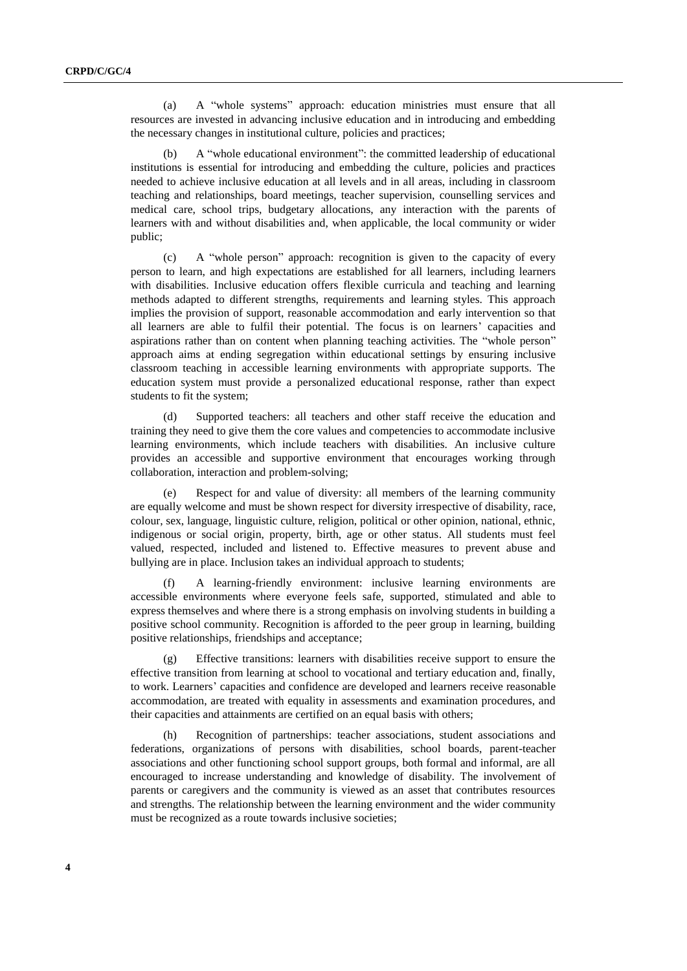(a) A "whole systems" approach: education ministries must ensure that all resources are invested in advancing inclusive education and in introducing and embedding the necessary changes in institutional culture, policies and practices;

A "whole educational environment": the committed leadership of educational institutions is essential for introducing and embedding the culture, policies and practices needed to achieve inclusive education at all levels and in all areas, including in classroom teaching and relationships, board meetings, teacher supervision, counselling services and medical care, school trips, budgetary allocations, any interaction with the parents of learners with and without disabilities and, when applicable, the local community or wider public;

(c) A "whole person" approach: recognition is given to the capacity of every person to learn, and high expectations are established for all learners, including learners with disabilities. Inclusive education offers flexible curricula and teaching and learning methods adapted to different strengths, requirements and learning styles. This approach implies the provision of support, reasonable accommodation and early intervention so that all learners are able to fulfil their potential. The focus is on learners' capacities and aspirations rather than on content when planning teaching activities. The "whole person" approach aims at ending segregation within educational settings by ensuring inclusive classroom teaching in accessible learning environments with appropriate supports. The education system must provide a personalized educational response, rather than expect students to fit the system;

(d) Supported teachers: all teachers and other staff receive the education and training they need to give them the core values and competencies to accommodate inclusive learning environments, which include teachers with disabilities. An inclusive culture provides an accessible and supportive environment that encourages working through collaboration, interaction and problem-solving;

(e) Respect for and value of diversity: all members of the learning community are equally welcome and must be shown respect for diversity irrespective of disability, race, colour, sex, language, linguistic culture, religion, political or other opinion, national, ethnic, indigenous or social origin, property, birth, age or other status. All students must feel valued, respected, included and listened to. Effective measures to prevent abuse and bullying are in place. Inclusion takes an individual approach to students;

(f) A learning-friendly environment: inclusive learning environments are accessible environments where everyone feels safe, supported, stimulated and able to express themselves and where there is a strong emphasis on involving students in building a positive school community. Recognition is afforded to the peer group in learning, building positive relationships, friendships and acceptance;

(g) Effective transitions: learners with disabilities receive support to ensure the effective transition from learning at school to vocational and tertiary education and, finally, to work. Learners' capacities and confidence are developed and learners receive reasonable accommodation, are treated with equality in assessments and examination procedures, and their capacities and attainments are certified on an equal basis with others;

Recognition of partnerships: teacher associations, student associations and federations, organizations of persons with disabilities, school boards, parent-teacher associations and other functioning school support groups, both formal and informal, are all encouraged to increase understanding and knowledge of disability. The involvement of parents or caregivers and the community is viewed as an asset that contributes resources and strengths. The relationship between the learning environment and the wider community must be recognized as a route towards inclusive societies;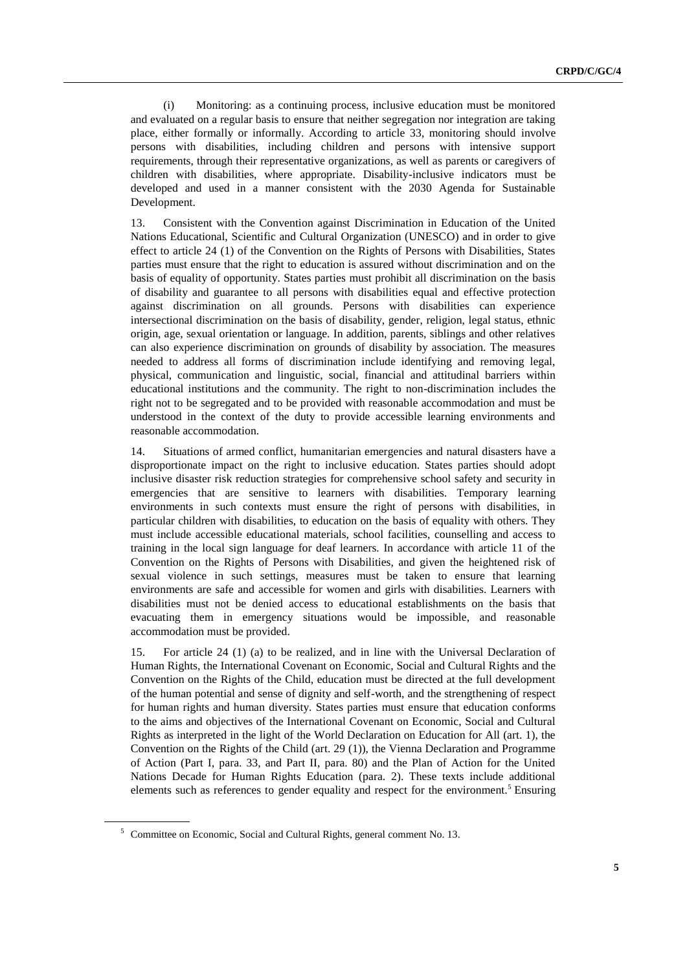(i) Monitoring: as a continuing process, inclusive education must be monitored and evaluated on a regular basis to ensure that neither segregation nor integration are taking place, either formally or informally. According to article 33, monitoring should involve persons with disabilities, including children and persons with intensive support requirements, through their representative organizations, as well as parents or caregivers of children with disabilities, where appropriate. Disability-inclusive indicators must be developed and used in a manner consistent with the 2030 Agenda for Sustainable Development.

13. Consistent with the Convention against Discrimination in Education of the United Nations Educational, Scientific and Cultural Organization (UNESCO) and in order to give effect to article 24 (1) of the Convention on the Rights of Persons with Disabilities, States parties must ensure that the right to education is assured without discrimination and on the basis of equality of opportunity. States parties must prohibit all discrimination on the basis of disability and guarantee to all persons with disabilities equal and effective protection against discrimination on all grounds. Persons with disabilities can experience intersectional discrimination on the basis of disability, gender, religion, legal status, ethnic origin, age, sexual orientation or language. In addition, parents, siblings and other relatives can also experience discrimination on grounds of disability by association. The measures needed to address all forms of discrimination include identifying and removing legal, physical, communication and linguistic, social, financial and attitudinal barriers within educational institutions and the community. The right to non-discrimination includes the right not to be segregated and to be provided with reasonable accommodation and must be understood in the context of the duty to provide accessible learning environments and reasonable accommodation.

14. Situations of armed conflict, humanitarian emergencies and natural disasters have a disproportionate impact on the right to inclusive education. States parties should adopt inclusive disaster risk reduction strategies for comprehensive school safety and security in emergencies that are sensitive to learners with disabilities. Temporary learning environments in such contexts must ensure the right of persons with disabilities, in particular children with disabilities, to education on the basis of equality with others. They must include accessible educational materials, school facilities, counselling and access to training in the local sign language for deaf learners. In accordance with article 11 of the Convention on the Rights of Persons with Disabilities, and given the heightened risk of sexual violence in such settings, measures must be taken to ensure that learning environments are safe and accessible for women and girls with disabilities. Learners with disabilities must not be denied access to educational establishments on the basis that evacuating them in emergency situations would be impossible, and reasonable accommodation must be provided.

15. For article 24 (1) (a) to be realized, and in line with the Universal Declaration of Human Rights, the International Covenant on Economic, Social and Cultural Rights and the Convention on the Rights of the Child, education must be directed at the full development of the human potential and sense of dignity and self-worth, and the strengthening of respect for human rights and human diversity. States parties must ensure that education conforms to the aims and objectives of the International Covenant on Economic, Social and Cultural Rights as interpreted in the light of the World Declaration on Education for All (art. 1), the Convention on the Rights of the Child (art. 29 (1)), the Vienna Declaration and Programme of Action (Part I, para. 33, and Part II, para. 80) and the Plan of Action for the United Nations Decade for Human Rights Education (para. 2). These texts include additional elements such as references to gender equality and respect for the environment.<sup>5</sup> Ensuring

<sup>5</sup> Committee on Economic, Social and Cultural Rights, general comment No. 13.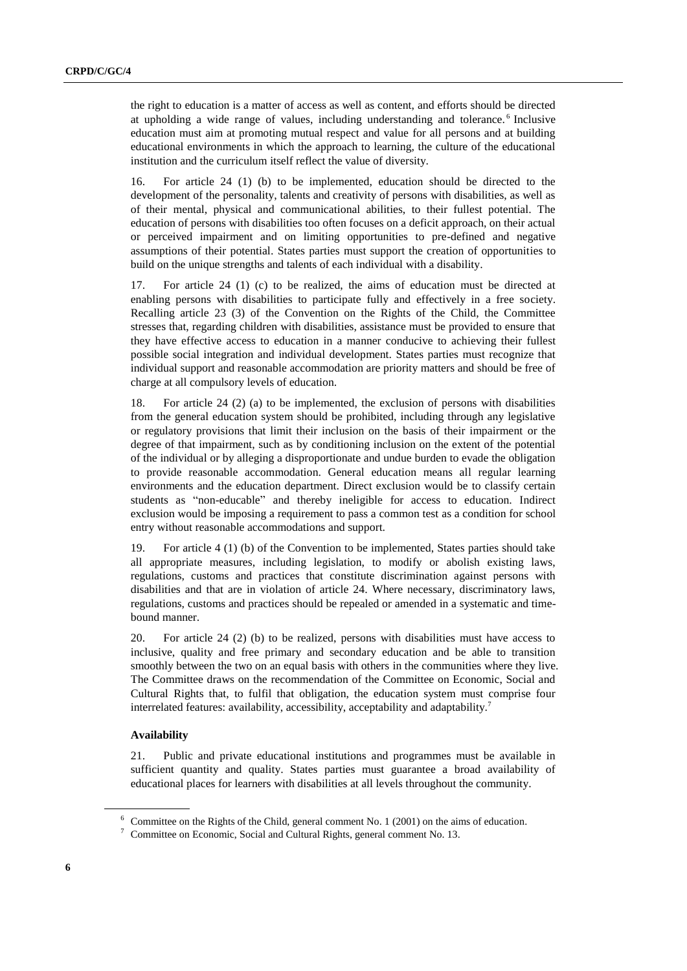the right to education is a matter of access as well as content, and efforts should be directed at upholding a wide range of values, including understanding and tolerance.<sup>6</sup> Inclusive education must aim at promoting mutual respect and value for all persons and at building educational environments in which the approach to learning, the culture of the educational institution and the curriculum itself reflect the value of diversity.

16. For article 24 (1) (b) to be implemented, education should be directed to the development of the personality, talents and creativity of persons with disabilities, as well as of their mental, physical and communicational abilities, to their fullest potential. The education of persons with disabilities too often focuses on a deficit approach, on their actual or perceived impairment and on limiting opportunities to pre-defined and negative assumptions of their potential. States parties must support the creation of opportunities to build on the unique strengths and talents of each individual with a disability.

17. For article 24 (1) (c) to be realized, the aims of education must be directed at enabling persons with disabilities to participate fully and effectively in a free society. Recalling article 23 (3) of the Convention on the Rights of the Child, the Committee stresses that, regarding children with disabilities, assistance must be provided to ensure that they have effective access to education in a manner conducive to achieving their fullest possible social integration and individual development. States parties must recognize that individual support and reasonable accommodation are priority matters and should be free of charge at all compulsory levels of education.

18. For article 24 (2) (a) to be implemented, the exclusion of persons with disabilities from the general education system should be prohibited, including through any legislative or regulatory provisions that limit their inclusion on the basis of their impairment or the degree of that impairment, such as by conditioning inclusion on the extent of the potential of the individual or by alleging a disproportionate and undue burden to evade the obligation to provide reasonable accommodation. General education means all regular learning environments and the education department. Direct exclusion would be to classify certain students as "non-educable" and thereby ineligible for access to education. Indirect exclusion would be imposing a requirement to pass a common test as a condition for school entry without reasonable accommodations and support.

19. For article 4 (1) (b) of the Convention to be implemented, States parties should take all appropriate measures, including legislation, to modify or abolish existing laws, regulations, customs and practices that constitute discrimination against persons with disabilities and that are in violation of article 24. Where necessary, discriminatory laws, regulations, customs and practices should be repealed or amended in a systematic and timebound manner.

20. For article 24 (2) (b) to be realized, persons with disabilities must have access to inclusive, quality and free primary and secondary education and be able to transition smoothly between the two on an equal basis with others in the communities where they live. The Committee draws on the recommendation of the Committee on Economic, Social and Cultural Rights that, to fulfil that obligation, the education system must comprise four interrelated features: availability, accessibility, acceptability and adaptability.<sup>7</sup>

#### **Availability**

21. Public and private educational institutions and programmes must be available in sufficient quantity and quality. States parties must guarantee a broad availability of educational places for learners with disabilities at all levels throughout the community.

 $6$  Committee on the Rights of the Child, general comment No. 1 (2001) on the aims of education.

 $7$  Committee on Economic, Social and Cultural Rights, general comment No. 13.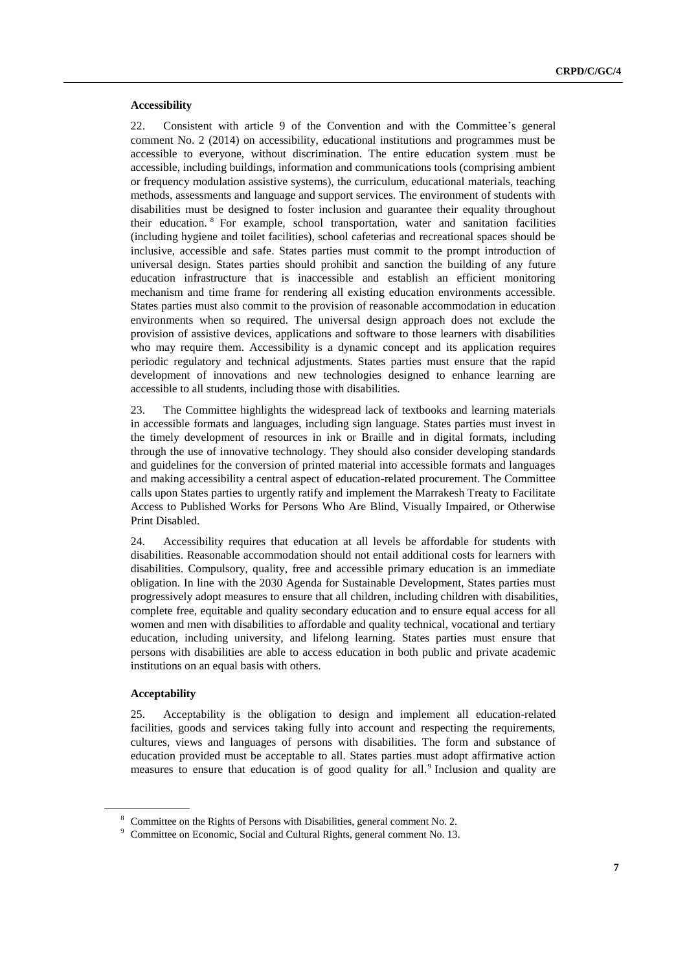#### **Accessibility**

22. Consistent with article 9 of the Convention and with the Committee's general comment No. 2 (2014) on accessibility, educational institutions and programmes must be accessible to everyone, without discrimination. The entire education system must be accessible, including buildings, information and communications tools (comprising ambient or frequency modulation assistive systems), the curriculum, educational materials, teaching methods, assessments and language and support services. The environment of students with disabilities must be designed to foster inclusion and guarantee their equality throughout their education. <sup>8</sup> For example, school transportation, water and sanitation facilities (including hygiene and toilet facilities), school cafeterias and recreational spaces should be inclusive, accessible and safe. States parties must commit to the prompt introduction of universal design. States parties should prohibit and sanction the building of any future education infrastructure that is inaccessible and establish an efficient monitoring mechanism and time frame for rendering all existing education environments accessible. States parties must also commit to the provision of reasonable accommodation in education environments when so required. The universal design approach does not exclude the provision of assistive devices, applications and software to those learners with disabilities who may require them. Accessibility is a dynamic concept and its application requires periodic regulatory and technical adjustments. States parties must ensure that the rapid development of innovations and new technologies designed to enhance learning are accessible to all students, including those with disabilities.

23. The Committee highlights the widespread lack of textbooks and learning materials in accessible formats and languages, including sign language. States parties must invest in the timely development of resources in ink or Braille and in digital formats, including through the use of innovative technology. They should also consider developing standards and guidelines for the conversion of printed material into accessible formats and languages and making accessibility a central aspect of education-related procurement. The Committee calls upon States parties to urgently ratify and implement the Marrakesh Treaty to Facilitate Access to Published Works for Persons Who Are Blind, Visually Impaired, or Otherwise Print Disabled.

24. Accessibility requires that education at all levels be affordable for students with disabilities. Reasonable accommodation should not entail additional costs for learners with disabilities. Compulsory, quality, free and accessible primary education is an immediate obligation. In line with the 2030 Agenda for Sustainable Development, States parties must progressively adopt measures to ensure that all children, including children with disabilities, complete free, equitable and quality secondary education and to ensure equal access for all women and men with disabilities to affordable and quality technical, vocational and tertiary education, including university, and lifelong learning. States parties must ensure that persons with disabilities are able to access education in both public and private academic institutions on an equal basis with others.

#### **Acceptability**

25. Acceptability is the obligation to design and implement all education-related facilities, goods and services taking fully into account and respecting the requirements, cultures, views and languages of persons with disabilities. The form and substance of education provided must be acceptable to all. States parties must adopt affirmative action measures to ensure that education is of good quality for all.<sup>9</sup> Inclusion and quality are

<sup>8</sup> Committee on the Rights of Persons with Disabilities, general comment No. 2.

<sup>9</sup> Committee on Economic, Social and Cultural Rights, general comment No. 13.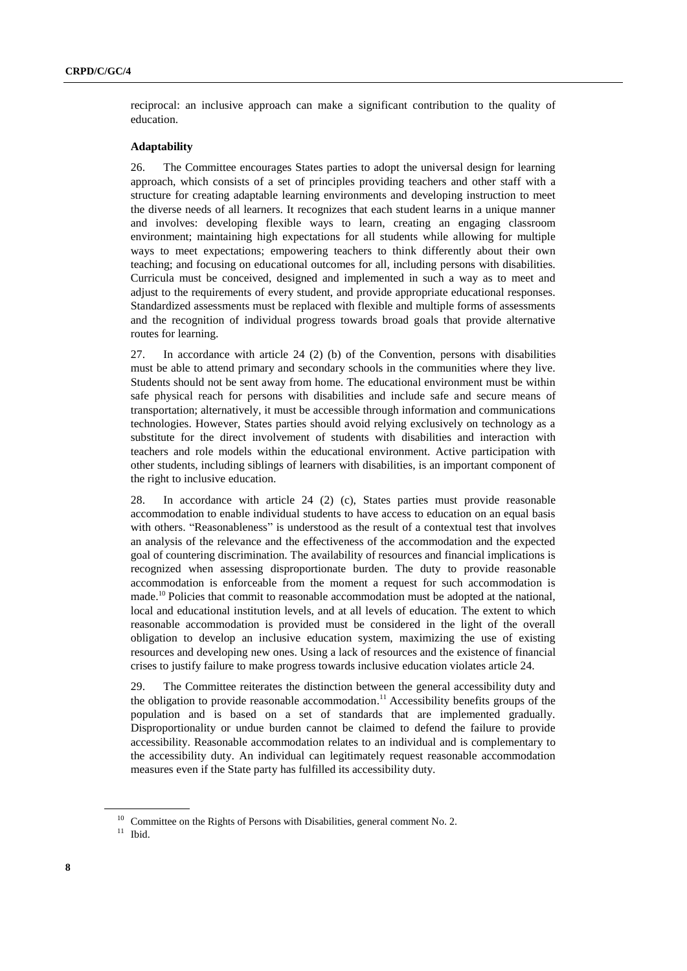reciprocal: an inclusive approach can make a significant contribution to the quality of education.

#### **Adaptability**

26. The Committee encourages States parties to adopt the universal design for learning approach, which consists of a set of principles providing teachers and other staff with a structure for creating adaptable learning environments and developing instruction to meet the diverse needs of all learners. It recognizes that each student learns in a unique manner and involves: developing flexible ways to learn, creating an engaging classroom environment; maintaining high expectations for all students while allowing for multiple ways to meet expectations; empowering teachers to think differently about their own teaching; and focusing on educational outcomes for all, including persons with disabilities. Curricula must be conceived, designed and implemented in such a way as to meet and adjust to the requirements of every student, and provide appropriate educational responses. Standardized assessments must be replaced with flexible and multiple forms of assessments and the recognition of individual progress towards broad goals that provide alternative routes for learning.

27. In accordance with article 24 (2) (b) of the Convention, persons with disabilities must be able to attend primary and secondary schools in the communities where they live. Students should not be sent away from home. The educational environment must be within safe physical reach for persons with disabilities and include safe and secure means of transportation; alternatively, it must be accessible through information and communications technologies. However, States parties should avoid relying exclusively on technology as a substitute for the direct involvement of students with disabilities and interaction with teachers and role models within the educational environment. Active participation with other students, including siblings of learners with disabilities, is an important component of the right to inclusive education.

28. In accordance with article 24 (2) (c), States parties must provide reasonable accommodation to enable individual students to have access to education on an equal basis with others. "Reasonableness" is understood as the result of a contextual test that involves an analysis of the relevance and the effectiveness of the accommodation and the expected goal of countering discrimination. The availability of resources and financial implications is recognized when assessing disproportionate burden. The duty to provide reasonable accommodation is enforceable from the moment a request for such accommodation is made.<sup>10</sup> Policies that commit to reasonable accommodation must be adopted at the national, local and educational institution levels, and at all levels of education. The extent to which reasonable accommodation is provided must be considered in the light of the overall obligation to develop an inclusive education system, maximizing the use of existing resources and developing new ones. Using a lack of resources and the existence of financial crises to justify failure to make progress towards inclusive education violates article 24.

29. The Committee reiterates the distinction between the general accessibility duty and the obligation to provide reasonable accommodation. <sup>11</sup> Accessibility benefits groups of the population and is based on a set of standards that are implemented gradually. Disproportionality or undue burden cannot be claimed to defend the failure to provide accessibility. Reasonable accommodation relates to an individual and is complementary to the accessibility duty. An individual can legitimately request reasonable accommodation measures even if the State party has fulfilled its accessibility duty.

<sup>&</sup>lt;sup>10</sup> Committee on the Rights of Persons with Disabilities, general comment No. 2.

 $11$  Ibid.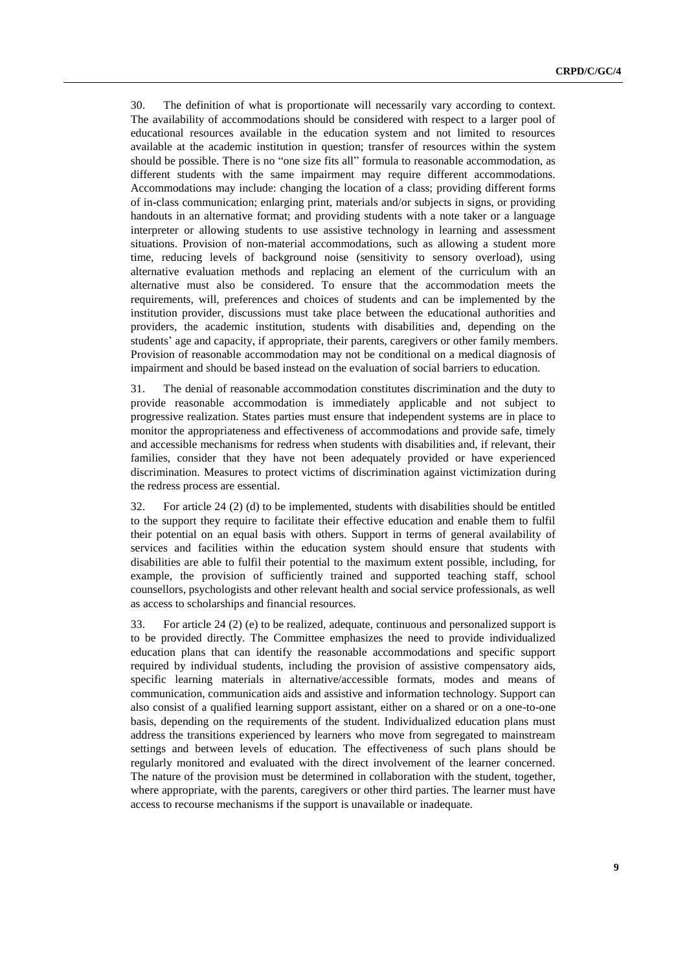30. The definition of what is proportionate will necessarily vary according to context. The availability of accommodations should be considered with respect to a larger pool of educational resources available in the education system and not limited to resources available at the academic institution in question; transfer of resources within the system should be possible. There is no "one size fits all" formula to reasonable accommodation, as different students with the same impairment may require different accommodations. Accommodations may include: changing the location of a class; providing different forms of in-class communication; enlarging print, materials and/or subjects in signs, or providing handouts in an alternative format; and providing students with a note taker or a language interpreter or allowing students to use assistive technology in learning and assessment situations. Provision of non-material accommodations, such as allowing a student more time, reducing levels of background noise (sensitivity to sensory overload), using alternative evaluation methods and replacing an element of the curriculum with an alternative must also be considered. To ensure that the accommodation meets the requirements, will, preferences and choices of students and can be implemented by the institution provider, discussions must take place between the educational authorities and providers, the academic institution, students with disabilities and, depending on the students' age and capacity, if appropriate, their parents, caregivers or other family members. Provision of reasonable accommodation may not be conditional on a medical diagnosis of impairment and should be based instead on the evaluation of social barriers to education.

31. The denial of reasonable accommodation constitutes discrimination and the duty to provide reasonable accommodation is immediately applicable and not subject to progressive realization. States parties must ensure that independent systems are in place to monitor the appropriateness and effectiveness of accommodations and provide safe, timely and accessible mechanisms for redress when students with disabilities and, if relevant, their families, consider that they have not been adequately provided or have experienced discrimination. Measures to protect victims of discrimination against victimization during the redress process are essential.

32. For article 24 (2) (d) to be implemented, students with disabilities should be entitled to the support they require to facilitate their effective education and enable them to fulfil their potential on an equal basis with others. Support in terms of general availability of services and facilities within the education system should ensure that students with disabilities are able to fulfil their potential to the maximum extent possible, including, for example, the provision of sufficiently trained and supported teaching staff, school counsellors, psychologists and other relevant health and social service professionals, as well as access to scholarships and financial resources.

33. For article 24 (2) (e) to be realized, adequate, continuous and personalized support is to be provided directly. The Committee emphasizes the need to provide individualized education plans that can identify the reasonable accommodations and specific support required by individual students, including the provision of assistive compensatory aids, specific learning materials in alternative/accessible formats, modes and means of communication, communication aids and assistive and information technology. Support can also consist of a qualified learning support assistant, either on a shared or on a one-to-one basis, depending on the requirements of the student. Individualized education plans must address the transitions experienced by learners who move from segregated to mainstream settings and between levels of education. The effectiveness of such plans should be regularly monitored and evaluated with the direct involvement of the learner concerned. The nature of the provision must be determined in collaboration with the student, together, where appropriate, with the parents, caregivers or other third parties. The learner must have access to recourse mechanisms if the support is unavailable or inadequate.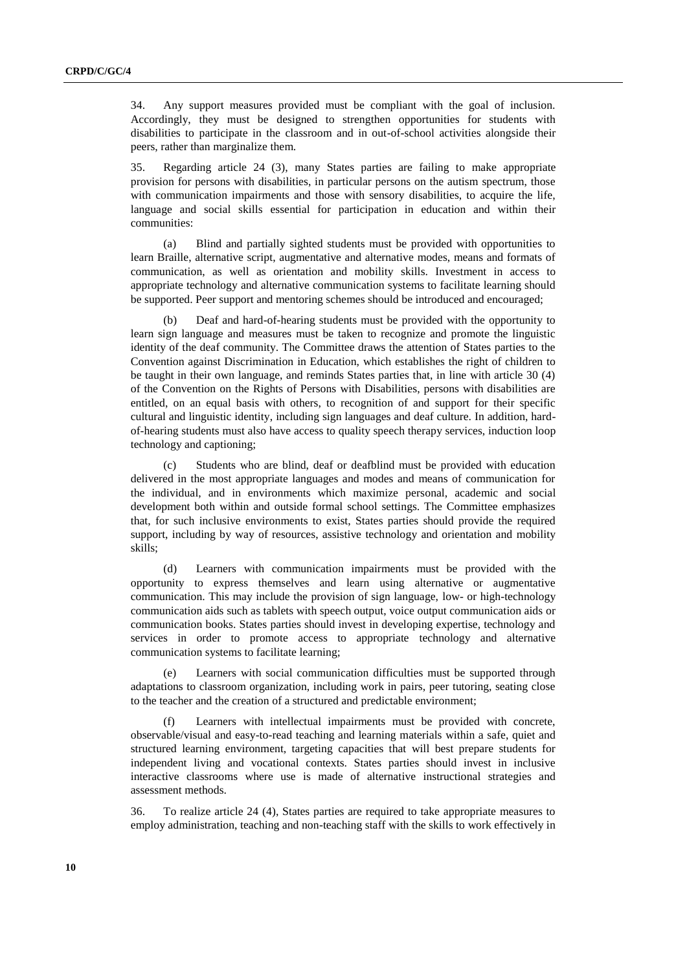34. Any support measures provided must be compliant with the goal of inclusion. Accordingly, they must be designed to strengthen opportunities for students with disabilities to participate in the classroom and in out-of-school activities alongside their peers, rather than marginalize them.

35. Regarding article 24 (3), many States parties are failing to make appropriate provision for persons with disabilities, in particular persons on the autism spectrum, those with communication impairments and those with sensory disabilities, to acquire the life, language and social skills essential for participation in education and within their communities:

(a) Blind and partially sighted students must be provided with opportunities to learn Braille, alternative script, augmentative and alternative modes, means and formats of communication, as well as orientation and mobility skills. Investment in access to appropriate technology and alternative communication systems to facilitate learning should be supported. Peer support and mentoring schemes should be introduced and encouraged;

(b) Deaf and hard-of-hearing students must be provided with the opportunity to learn sign language and measures must be taken to recognize and promote the linguistic identity of the deaf community. The Committee draws the attention of States parties to the Convention against Discrimination in Education, which establishes the right of children to be taught in their own language, and reminds States parties that, in line with article 30 (4) of the Convention on the Rights of Persons with Disabilities, persons with disabilities are entitled, on an equal basis with others, to recognition of and support for their specific cultural and linguistic identity, including sign languages and deaf culture. In addition, hardof-hearing students must also have access to quality speech therapy services, induction loop technology and captioning;

(c) Students who are blind, deaf or deafblind must be provided with education delivered in the most appropriate languages and modes and means of communication for the individual, and in environments which maximize personal, academic and social development both within and outside formal school settings. The Committee emphasizes that, for such inclusive environments to exist, States parties should provide the required support, including by way of resources, assistive technology and orientation and mobility skills;

(d) Learners with communication impairments must be provided with the opportunity to express themselves and learn using alternative or augmentative communication. This may include the provision of sign language, low- or high-technology communication aids such as tablets with speech output, voice output communication aids or communication books. States parties should invest in developing expertise, technology and services in order to promote access to appropriate technology and alternative communication systems to facilitate learning;

(e) Learners with social communication difficulties must be supported through adaptations to classroom organization, including work in pairs, peer tutoring, seating close to the teacher and the creation of a structured and predictable environment;

Learners with intellectual impairments must be provided with concrete, observable/visual and easy-to-read teaching and learning materials within a safe, quiet and structured learning environment, targeting capacities that will best prepare students for independent living and vocational contexts. States parties should invest in inclusive interactive classrooms where use is made of alternative instructional strategies and assessment methods.

36. To realize article 24 (4), States parties are required to take appropriate measures to employ administration, teaching and non-teaching staff with the skills to work effectively in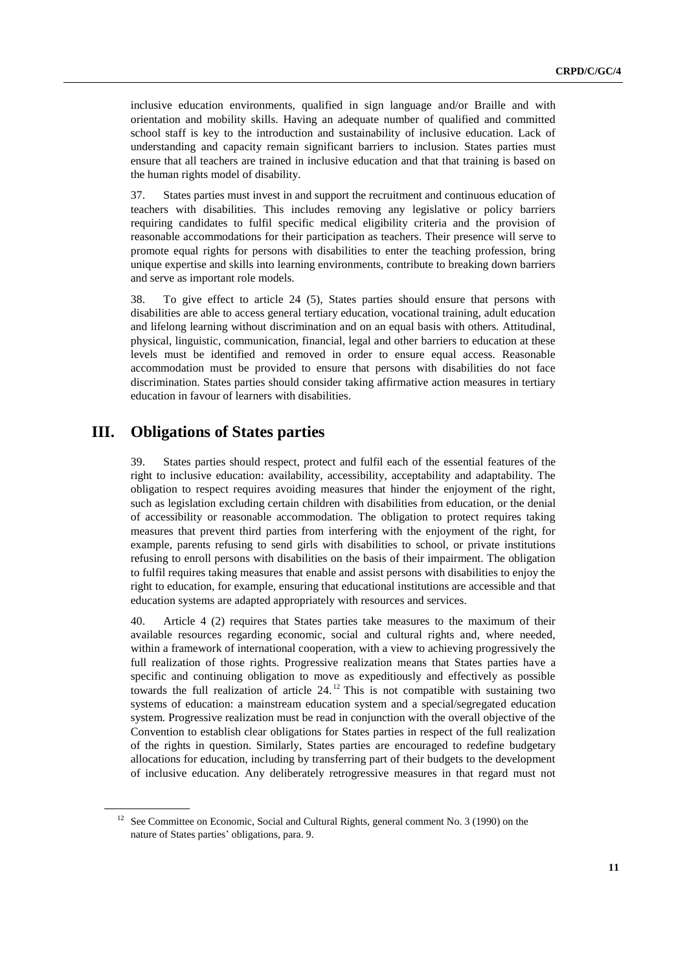inclusive education environments, qualified in sign language and/or Braille and with orientation and mobility skills. Having an adequate number of qualified and committed school staff is key to the introduction and sustainability of inclusive education. Lack of understanding and capacity remain significant barriers to inclusion. States parties must ensure that all teachers are trained in inclusive education and that that training is based on the human rights model of disability.

37. States parties must invest in and support the recruitment and continuous education of teachers with disabilities. This includes removing any legislative or policy barriers requiring candidates to fulfil specific medical eligibility criteria and the provision of reasonable accommodations for their participation as teachers. Their presence will serve to promote equal rights for persons with disabilities to enter the teaching profession, bring unique expertise and skills into learning environments, contribute to breaking down barriers and serve as important role models.

38. To give effect to article 24 (5), States parties should ensure that persons with disabilities are able to access general tertiary education, vocational training, adult education and lifelong learning without discrimination and on an equal basis with others. Attitudinal, physical, linguistic, communication, financial, legal and other barriers to education at these levels must be identified and removed in order to ensure equal access. Reasonable accommodation must be provided to ensure that persons with disabilities do not face discrimination. States parties should consider taking affirmative action measures in tertiary education in favour of learners with disabilities.

### **III. Obligations of States parties**

39. States parties should respect, protect and fulfil each of the essential features of the right to inclusive education: availability, accessibility, acceptability and adaptability. The obligation to respect requires avoiding measures that hinder the enjoyment of the right, such as legislation excluding certain children with disabilities from education, or the denial of accessibility or reasonable accommodation. The obligation to protect requires taking measures that prevent third parties from interfering with the enjoyment of the right, for example, parents refusing to send girls with disabilities to school, or private institutions refusing to enroll persons with disabilities on the basis of their impairment. The obligation to fulfil requires taking measures that enable and assist persons with disabilities to enjoy the right to education, for example, ensuring that educational institutions are accessible and that education systems are adapted appropriately with resources and services.

40. Article 4 (2) requires that States parties take measures to the maximum of their available resources regarding economic, social and cultural rights and, where needed, within a framework of international cooperation, with a view to achieving progressively the full realization of those rights. Progressive realization means that States parties have a specific and continuing obligation to move as expeditiously and effectively as possible towards the full realization of article 24. <sup>12</sup> This is not compatible with sustaining two systems of education: a mainstream education system and a special/segregated education system. Progressive realization must be read in conjunction with the overall objective of the Convention to establish clear obligations for States parties in respect of the full realization of the rights in question. Similarly, States parties are encouraged to redefine budgetary allocations for education, including by transferring part of their budgets to the development of inclusive education. Any deliberately retrogressive measures in that regard must not

<sup>&</sup>lt;sup>12</sup> See Committee on Economic, Social and Cultural Rights, general comment No. 3 (1990) on the nature of States parties' obligations, para. 9.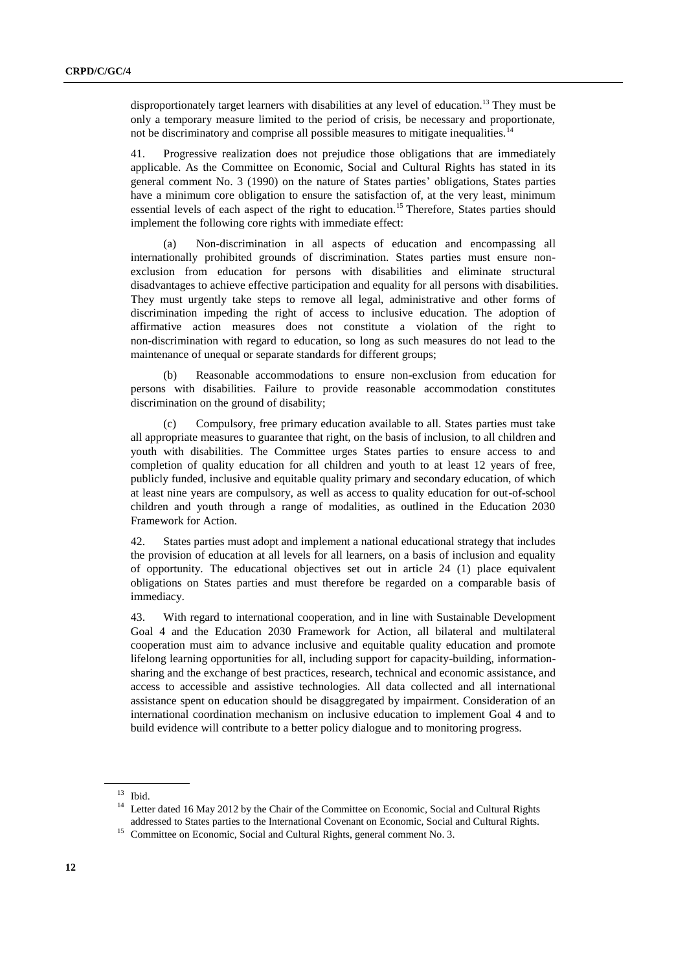disproportionately target learners with disabilities at any level of education.<sup>13</sup> They must be only a temporary measure limited to the period of crisis, be necessary and proportionate, not be discriminatory and comprise all possible measures to mitigate inequalities.<sup>14</sup>

41. Progressive realization does not prejudice those obligations that are immediately applicable. As the Committee on Economic, Social and Cultural Rights has stated in its general comment No. 3 (1990) on the nature of States parties' obligations, States parties have a minimum core obligation to ensure the satisfaction of, at the very least, minimum essential levels of each aspect of the right to education.<sup>15</sup> Therefore, States parties should implement the following core rights with immediate effect:

(a) Non-discrimination in all aspects of education and encompassing all internationally prohibited grounds of discrimination. States parties must ensure nonexclusion from education for persons with disabilities and eliminate structural disadvantages to achieve effective participation and equality for all persons with disabilities. They must urgently take steps to remove all legal, administrative and other forms of discrimination impeding the right of access to inclusive education. The adoption of affirmative action measures does not constitute a violation of the right to non-discrimination with regard to education, so long as such measures do not lead to the maintenance of unequal or separate standards for different groups;

(b) Reasonable accommodations to ensure non-exclusion from education for persons with disabilities. Failure to provide reasonable accommodation constitutes discrimination on the ground of disability;

(c) Compulsory, free primary education available to all. States parties must take all appropriate measures to guarantee that right, on the basis of inclusion, to all children and youth with disabilities. The Committee urges States parties to ensure access to and completion of quality education for all children and youth to at least 12 years of free, publicly funded, inclusive and equitable quality primary and secondary education, of which at least nine years are compulsory, as well as access to quality education for out-of-school children and youth through a range of modalities, as outlined in the Education 2030 Framework for Action.

42. States parties must adopt and implement a national educational strategy that includes the provision of education at all levels for all learners, on a basis of inclusion and equality of opportunity. The educational objectives set out in article 24 (1) place equivalent obligations on States parties and must therefore be regarded on a comparable basis of immediacy.

43. With regard to international cooperation, and in line with Sustainable Development Goal 4 and the Education 2030 Framework for Action, all bilateral and multilateral cooperation must aim to advance inclusive and equitable quality education and promote lifelong learning opportunities for all, including support for capacity-building, informationsharing and the exchange of best practices, research, technical and economic assistance, and access to accessible and assistive technologies. All data collected and all international assistance spent on education should be disaggregated by impairment. Consideration of an international coordination mechanism on inclusive education to implement Goal 4 and to build evidence will contribute to a better policy dialogue and to monitoring progress.

 $13$  Ibid.

<sup>&</sup>lt;sup>14</sup> Letter dated 16 May 2012 by the Chair of the Committee on Economic, Social and Cultural Rights addressed to States parties to the International Covenant on Economic, Social and Cultural Rights.

<sup>&</sup>lt;sup>15</sup> Committee on Economic, Social and Cultural Rights, general comment No. 3.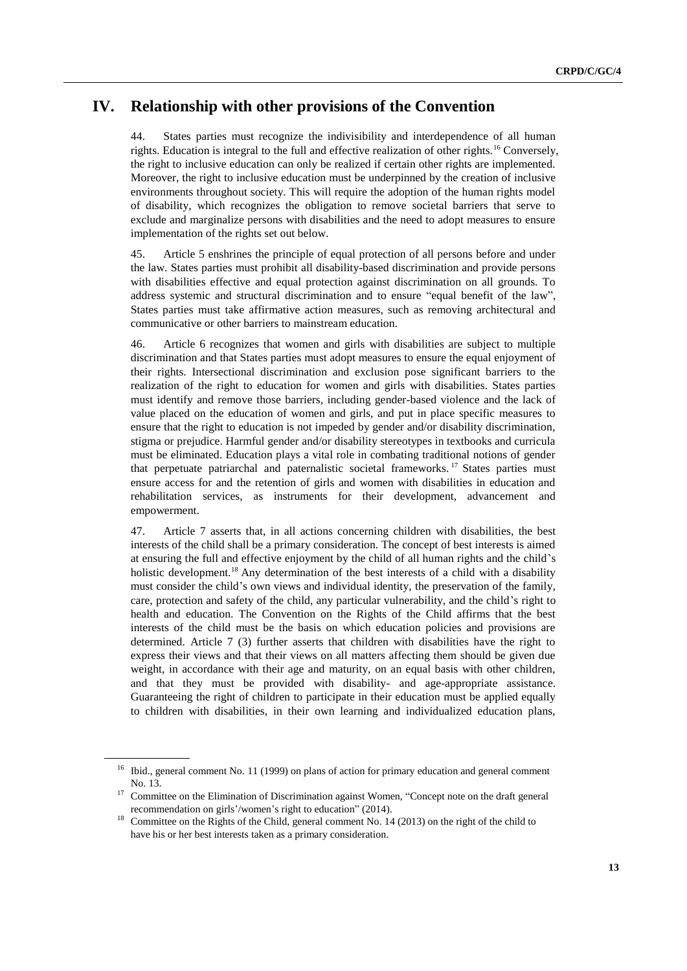## **IV. Relationship with other provisions of the Convention**

44. States parties must recognize the indivisibility and interdependence of all human rights. Education is integral to the full and effective realization of other rights.<sup>16</sup> Conversely, the right to inclusive education can only be realized if certain other rights are implemented. Moreover, the right to inclusive education must be underpinned by the creation of inclusive environments throughout society. This will require the adoption of the human rights model of disability, which recognizes the obligation to remove societal barriers that serve to exclude and marginalize persons with disabilities and the need to adopt measures to ensure implementation of the rights set out below.

45. Article 5 enshrines the principle of equal protection of all persons before and under the law. States parties must prohibit all disability-based discrimination and provide persons with disabilities effective and equal protection against discrimination on all grounds. To address systemic and structural discrimination and to ensure "equal benefit of the law", States parties must take affirmative action measures, such as removing architectural and communicative or other barriers to mainstream education.

46. Article 6 recognizes that women and girls with disabilities are subject to multiple discrimination and that States parties must adopt measures to ensure the equal enjoyment of their rights. Intersectional discrimination and exclusion pose significant barriers to the realization of the right to education for women and girls with disabilities. States parties must identify and remove those barriers, including gender-based violence and the lack of value placed on the education of women and girls, and put in place specific measures to ensure that the right to education is not impeded by gender and/or disability discrimination, stigma or prejudice. Harmful gender and/or disability stereotypes in textbooks and curricula must be eliminated. Education plays a vital role in combating traditional notions of gender that perpetuate patriarchal and paternalistic societal frameworks.<sup>17</sup> States parties must ensure access for and the retention of girls and women with disabilities in education and rehabilitation services, as instruments for their development, advancement and empowerment.

47. Article 7 asserts that, in all actions concerning children with disabilities, the best interests of the child shall be a primary consideration. The concept of best interests is aimed at ensuring the full and effective enjoyment by the child of all human rights and the child's holistic development.<sup>18</sup> Any determination of the best interests of a child with a disability must consider the child's own views and individual identity, the preservation of the family, care, protection and safety of the child, any particular vulnerability, and the child's right to health and education. The Convention on the Rights of the Child affirms that the best interests of the child must be the basis on which education policies and provisions are determined. Article 7 (3) further asserts that children with disabilities have the right to express their views and that their views on all matters affecting them should be given due weight, in accordance with their age and maturity, on an equal basis with other children, and that they must be provided with disability- and age-appropriate assistance. Guaranteeing the right of children to participate in their education must be applied equally to children with disabilities, in their own learning and individualized education plans,

<sup>&</sup>lt;sup>16</sup> Ibid., general comment No. 11 (1999) on plans of action for primary education and general comment No. 13.

<sup>&</sup>lt;sup>17</sup> Committee on the Elimination of Discrimination against Women, "Concept note on the draft general recommendation on girls'/women's right to education" (2014).

<sup>&</sup>lt;sup>18</sup> Committee on the Rights of the Child, general comment No. 14 (2013) on the right of the child to have his or her best interests taken as a primary consideration.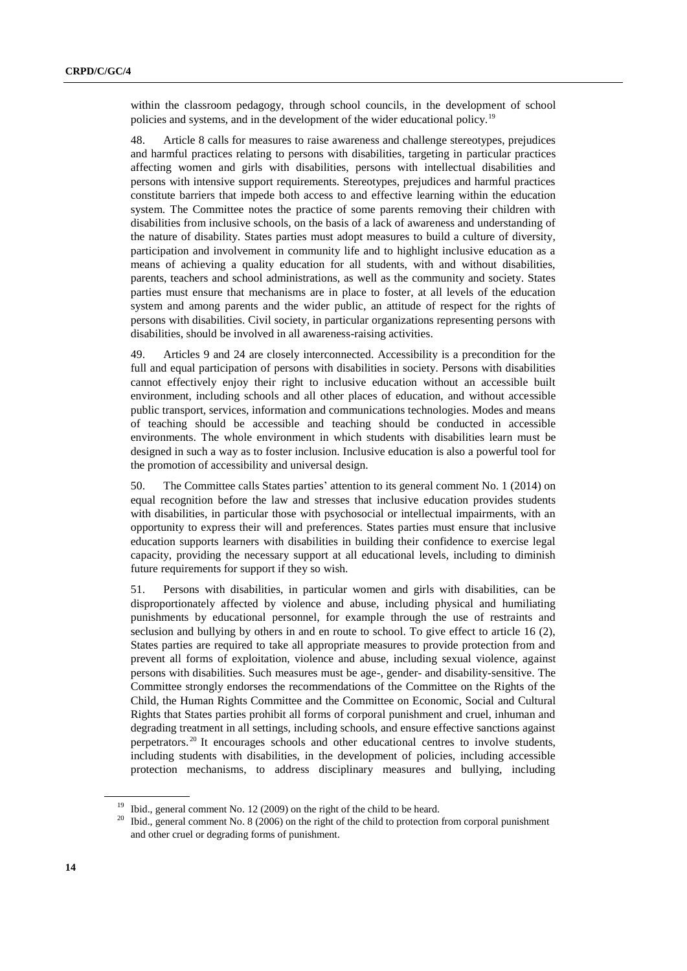within the classroom pedagogy, through school councils, in the development of school policies and systems, and in the development of the wider educational policy.<sup>19</sup>

48. Article 8 calls for measures to raise awareness and challenge stereotypes, prejudices and harmful practices relating to persons with disabilities, targeting in particular practices affecting women and girls with disabilities, persons with intellectual disabilities and persons with intensive support requirements. Stereotypes, prejudices and harmful practices constitute barriers that impede both access to and effective learning within the education system. The Committee notes the practice of some parents removing their children with disabilities from inclusive schools, on the basis of a lack of awareness and understanding of the nature of disability. States parties must adopt measures to build a culture of diversity, participation and involvement in community life and to highlight inclusive education as a means of achieving a quality education for all students, with and without disabilities, parents, teachers and school administrations, as well as the community and society. States parties must ensure that mechanisms are in place to foster, at all levels of the education system and among parents and the wider public, an attitude of respect for the rights of persons with disabilities. Civil society, in particular organizations representing persons with disabilities, should be involved in all awareness-raising activities.

49. Articles 9 and 24 are closely interconnected. Accessibility is a precondition for the full and equal participation of persons with disabilities in society. Persons with disabilities cannot effectively enjoy their right to inclusive education without an accessible built environment, including schools and all other places of education, and without accessible public transport, services, information and communications technologies. Modes and means of teaching should be accessible and teaching should be conducted in accessible environments. The whole environment in which students with disabilities learn must be designed in such a way as to foster inclusion. Inclusive education is also a powerful tool for the promotion of accessibility and universal design.

50. The Committee calls States parties' attention to its general comment No. 1 (2014) on equal recognition before the law and stresses that inclusive education provides students with disabilities, in particular those with psychosocial or intellectual impairments, with an opportunity to express their will and preferences. States parties must ensure that inclusive education supports learners with disabilities in building their confidence to exercise legal capacity, providing the necessary support at all educational levels, including to diminish future requirements for support if they so wish.

51. Persons with disabilities, in particular women and girls with disabilities, can be disproportionately affected by violence and abuse, including physical and humiliating punishments by educational personnel, for example through the use of restraints and seclusion and bullying by others in and en route to school. To give effect to article 16 (2), States parties are required to take all appropriate measures to provide protection from and prevent all forms of exploitation, violence and abuse, including sexual violence, against persons with disabilities. Such measures must be age-, gender- and disability-sensitive. The Committee strongly endorses the recommendations of the Committee on the Rights of the Child, the Human Rights Committee and the Committee on Economic, Social and Cultural Rights that States parties prohibit all forms of corporal punishment and cruel, inhuman and degrading treatment in all settings, including schools, and ensure effective sanctions against perpetrators. <sup>20</sup> It encourages schools and other educational centres to involve students, including students with disabilities, in the development of policies, including accessible protection mechanisms, to address disciplinary measures and bullying, including

<sup>19</sup> Ibid., general comment No. 12 (2009) on the right of the child to be heard.

<sup>&</sup>lt;sup>20</sup> Ibid., general comment No. 8 (2006) on the right of the child to protection from corporal punishment and other cruel or degrading forms of punishment.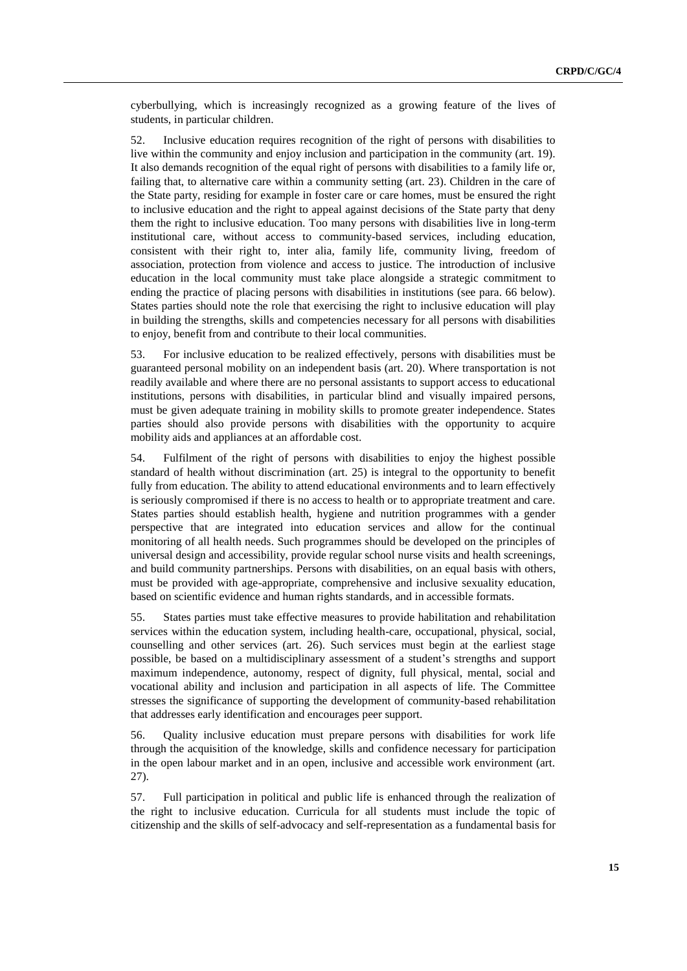cyberbullying, which is increasingly recognized as a growing feature of the lives of students, in particular children.

52. Inclusive education requires recognition of the right of persons with disabilities to live within the community and enjoy inclusion and participation in the community (art. 19). It also demands recognition of the equal right of persons with disabilities to a family life or, failing that, to alternative care within a community setting (art. 23). Children in the care of the State party, residing for example in foster care or care homes, must be ensured the right to inclusive education and the right to appeal against decisions of the State party that deny them the right to inclusive education. Too many persons with disabilities live in long-term institutional care, without access to community-based services, including education, consistent with their right to, inter alia, family life, community living, freedom of association, protection from violence and access to justice. The introduction of inclusive education in the local community must take place alongside a strategic commitment to ending the practice of placing persons with disabilities in institutions (see para. 66 below). States parties should note the role that exercising the right to inclusive education will play in building the strengths, skills and competencies necessary for all persons with disabilities to enjoy, benefit from and contribute to their local communities.

53. For inclusive education to be realized effectively, persons with disabilities must be guaranteed personal mobility on an independent basis (art. 20). Where transportation is not readily available and where there are no personal assistants to support access to educational institutions, persons with disabilities, in particular blind and visually impaired persons, must be given adequate training in mobility skills to promote greater independence. States parties should also provide persons with disabilities with the opportunity to acquire mobility aids and appliances at an affordable cost.

54. Fulfilment of the right of persons with disabilities to enjoy the highest possible standard of health without discrimination (art. 25) is integral to the opportunity to benefit fully from education. The ability to attend educational environments and to learn effectively is seriously compromised if there is no access to health or to appropriate treatment and care. States parties should establish health, hygiene and nutrition programmes with a gender perspective that are integrated into education services and allow for the continual monitoring of all health needs. Such programmes should be developed on the principles of universal design and accessibility, provide regular school nurse visits and health screenings, and build community partnerships. Persons with disabilities, on an equal basis with others, must be provided with age-appropriate, comprehensive and inclusive sexuality education, based on scientific evidence and human rights standards, and in accessible formats.

55. States parties must take effective measures to provide habilitation and rehabilitation services within the education system, including health-care, occupational, physical, social, counselling and other services (art. 26). Such services must begin at the earliest stage possible, be based on a multidisciplinary assessment of a student's strengths and support maximum independence, autonomy, respect of dignity, full physical, mental, social and vocational ability and inclusion and participation in all aspects of life. The Committee stresses the significance of supporting the development of community-based rehabilitation that addresses early identification and encourages peer support.

56. Quality inclusive education must prepare persons with disabilities for work life through the acquisition of the knowledge, skills and confidence necessary for participation in the open labour market and in an open, inclusive and accessible work environment (art. 27).

57. Full participation in political and public life is enhanced through the realization of the right to inclusive education. Curricula for all students must include the topic of citizenship and the skills of self-advocacy and self-representation as a fundamental basis for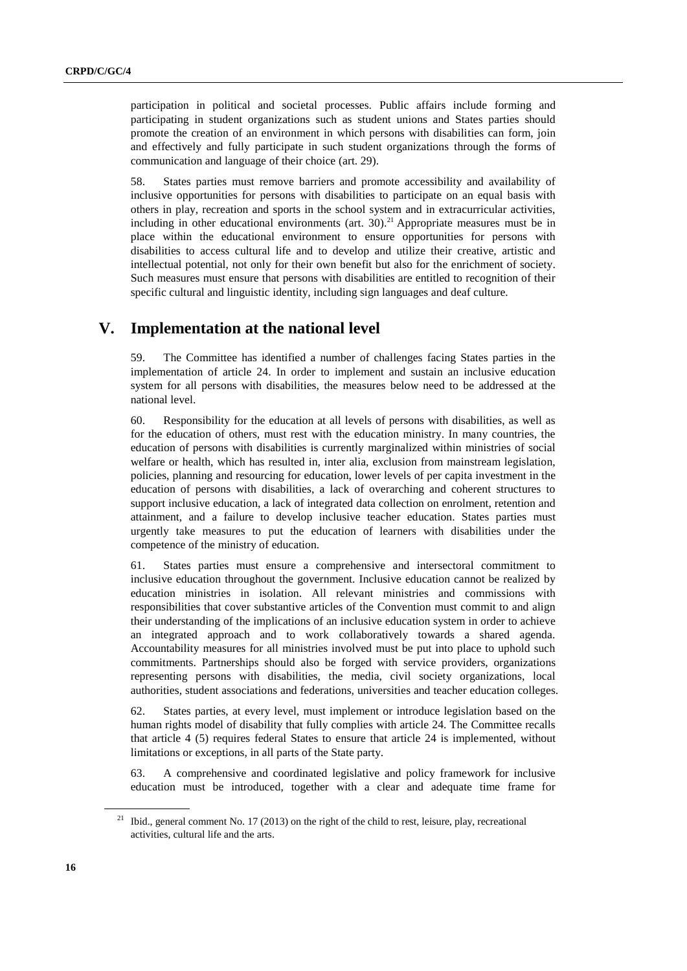participation in political and societal processes. Public affairs include forming and participating in student organizations such as student unions and States parties should promote the creation of an environment in which persons with disabilities can form, join and effectively and fully participate in such student organizations through the forms of communication and language of their choice (art. 29).

58. States parties must remove barriers and promote accessibility and availability of inclusive opportunities for persons with disabilities to participate on an equal basis with others in play, recreation and sports in the school system and in extracurricular activities, including in other educational environments (art.  $30$ ).<sup>21</sup> Appropriate measures must be in place within the educational environment to ensure opportunities for persons with disabilities to access cultural life and to develop and utilize their creative, artistic and intellectual potential, not only for their own benefit but also for the enrichment of society. Such measures must ensure that persons with disabilities are entitled to recognition of their specific cultural and linguistic identity, including sign languages and deaf culture.

### **V. Implementation at the national level**

59. The Committee has identified a number of challenges facing States parties in the implementation of article 24. In order to implement and sustain an inclusive education system for all persons with disabilities, the measures below need to be addressed at the national level.

60. Responsibility for the education at all levels of persons with disabilities, as well as for the education of others, must rest with the education ministry. In many countries, the education of persons with disabilities is currently marginalized within ministries of social welfare or health, which has resulted in, inter alia, exclusion from mainstream legislation, policies, planning and resourcing for education, lower levels of per capita investment in the education of persons with disabilities, a lack of overarching and coherent structures to support inclusive education, a lack of integrated data collection on enrolment, retention and attainment, and a failure to develop inclusive teacher education. States parties must urgently take measures to put the education of learners with disabilities under the competence of the ministry of education.

61. States parties must ensure a comprehensive and intersectoral commitment to inclusive education throughout the government. Inclusive education cannot be realized by education ministries in isolation. All relevant ministries and commissions with responsibilities that cover substantive articles of the Convention must commit to and align their understanding of the implications of an inclusive education system in order to achieve an integrated approach and to work collaboratively towards a shared agenda. Accountability measures for all ministries involved must be put into place to uphold such commitments. Partnerships should also be forged with service providers, organizations representing persons with disabilities, the media, civil society organizations, local authorities, student associations and federations, universities and teacher education colleges.

62. States parties, at every level, must implement or introduce legislation based on the human rights model of disability that fully complies with article 24. The Committee recalls that article 4 (5) requires federal States to ensure that article 24 is implemented, without limitations or exceptions, in all parts of the State party.

63. A comprehensive and coordinated legislative and policy framework for inclusive education must be introduced, together with a clear and adequate time frame for

<sup>&</sup>lt;sup>21</sup> Ibid., general comment No. 17 (2013) on the right of the child to rest, leisure, play, recreational activities, cultural life and the arts.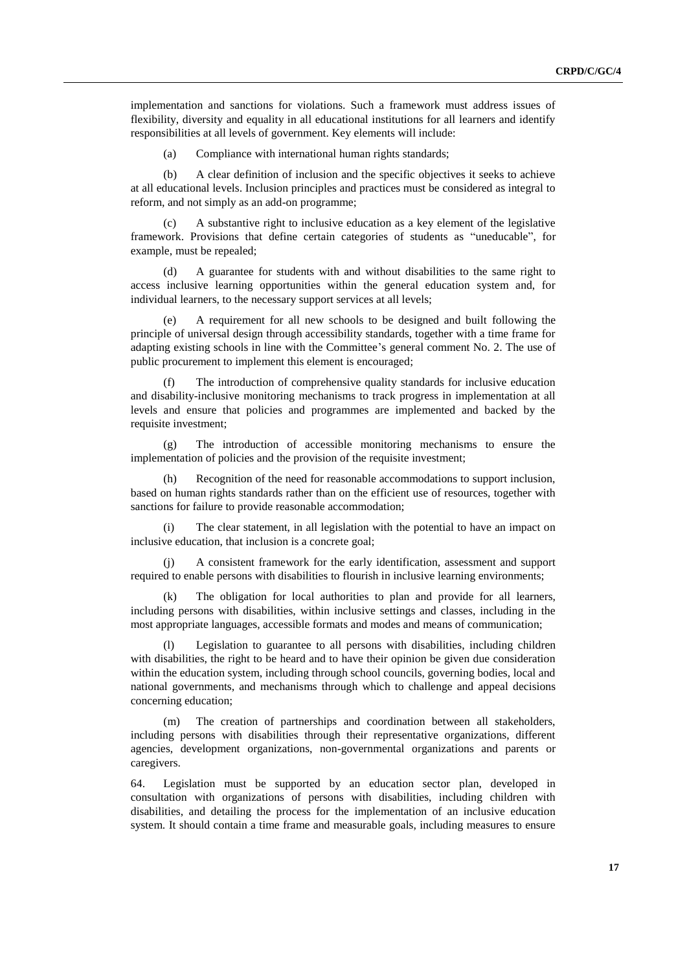implementation and sanctions for violations. Such a framework must address issues of flexibility, diversity and equality in all educational institutions for all learners and identify responsibilities at all levels of government. Key elements will include:

(a) Compliance with international human rights standards;

(b) A clear definition of inclusion and the specific objectives it seeks to achieve at all educational levels. Inclusion principles and practices must be considered as integral to reform, and not simply as an add-on programme;

A substantive right to inclusive education as a key element of the legislative framework. Provisions that define certain categories of students as "uneducable", for example, must be repealed;

(d) A guarantee for students with and without disabilities to the same right to access inclusive learning opportunities within the general education system and, for individual learners, to the necessary support services at all levels;

(e) A requirement for all new schools to be designed and built following the principle of universal design through accessibility standards, together with a time frame for adapting existing schools in line with the Committee's general comment No. 2. The use of public procurement to implement this element is encouraged;

The introduction of comprehensive quality standards for inclusive education and disability-inclusive monitoring mechanisms to track progress in implementation at all levels and ensure that policies and programmes are implemented and backed by the requisite investment;

(g) The introduction of accessible monitoring mechanisms to ensure the implementation of policies and the provision of the requisite investment;

Recognition of the need for reasonable accommodations to support inclusion, based on human rights standards rather than on the efficient use of resources, together with sanctions for failure to provide reasonable accommodation;

The clear statement, in all legislation with the potential to have an impact on inclusive education, that inclusion is a concrete goal;

A consistent framework for the early identification, assessment and support required to enable persons with disabilities to flourish in inclusive learning environments;

(k) The obligation for local authorities to plan and provide for all learners, including persons with disabilities, within inclusive settings and classes, including in the most appropriate languages, accessible formats and modes and means of communication;

Legislation to guarantee to all persons with disabilities, including children with disabilities, the right to be heard and to have their opinion be given due consideration within the education system, including through school councils, governing bodies, local and national governments, and mechanisms through which to challenge and appeal decisions concerning education;

The creation of partnerships and coordination between all stakeholders, including persons with disabilities through their representative organizations, different agencies, development organizations, non-governmental organizations and parents or caregivers.

64. Legislation must be supported by an education sector plan, developed in consultation with organizations of persons with disabilities, including children with disabilities, and detailing the process for the implementation of an inclusive education system. It should contain a time frame and measurable goals, including measures to ensure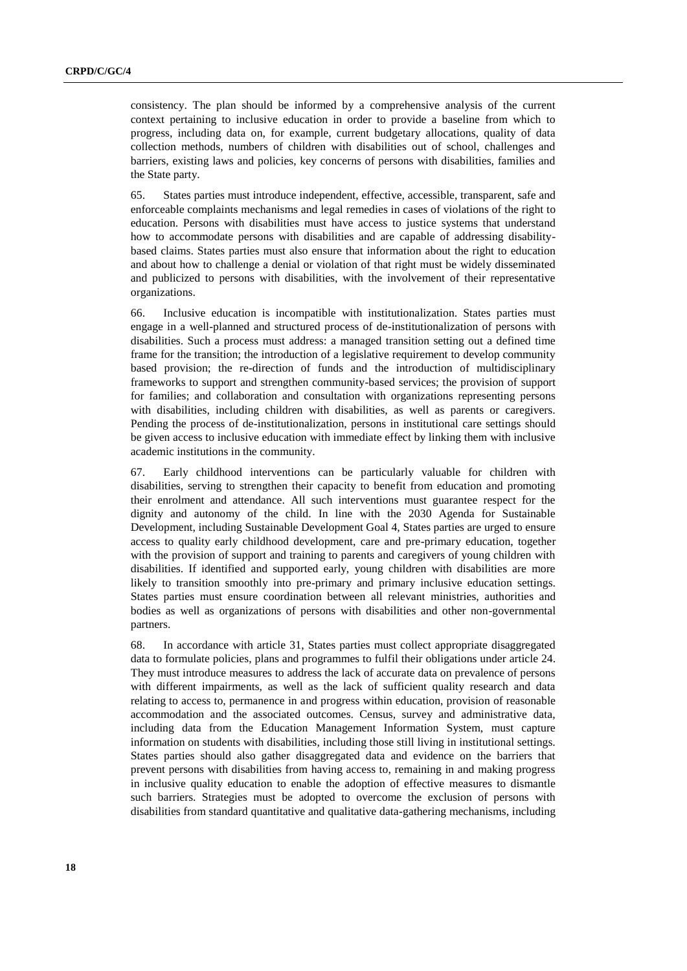consistency. The plan should be informed by a comprehensive analysis of the current context pertaining to inclusive education in order to provide a baseline from which to progress, including data on, for example, current budgetary allocations, quality of data collection methods, numbers of children with disabilities out of school, challenges and barriers, existing laws and policies, key concerns of persons with disabilities, families and the State party.

65. States parties must introduce independent, effective, accessible, transparent, safe and enforceable complaints mechanisms and legal remedies in cases of violations of the right to education. Persons with disabilities must have access to justice systems that understand how to accommodate persons with disabilities and are capable of addressing disabilitybased claims. States parties must also ensure that information about the right to education and about how to challenge a denial or violation of that right must be widely disseminated and publicized to persons with disabilities, with the involvement of their representative organizations.

66. Inclusive education is incompatible with institutionalization. States parties must engage in a well-planned and structured process of de-institutionalization of persons with disabilities. Such a process must address: a managed transition setting out a defined time frame for the transition; the introduction of a legislative requirement to develop community based provision; the re-direction of funds and the introduction of multidisciplinary frameworks to support and strengthen community-based services; the provision of support for families; and collaboration and consultation with organizations representing persons with disabilities, including children with disabilities, as well as parents or caregivers. Pending the process of de-institutionalization, persons in institutional care settings should be given access to inclusive education with immediate effect by linking them with inclusive academic institutions in the community.

67. Early childhood interventions can be particularly valuable for children with disabilities, serving to strengthen their capacity to benefit from education and promoting their enrolment and attendance. All such interventions must guarantee respect for the dignity and autonomy of the child. In line with the 2030 Agenda for Sustainable Development, including Sustainable Development Goal 4, States parties are urged to ensure access to quality early childhood development, care and pre-primary education, together with the provision of support and training to parents and caregivers of young children with disabilities. If identified and supported early, young children with disabilities are more likely to transition smoothly into pre-primary and primary inclusive education settings. States parties must ensure coordination between all relevant ministries, authorities and bodies as well as organizations of persons with disabilities and other non-governmental partners.

68. In accordance with article 31, States parties must collect appropriate disaggregated data to formulate policies, plans and programmes to fulfil their obligations under article 24. They must introduce measures to address the lack of accurate data on prevalence of persons with different impairments, as well as the lack of sufficient quality research and data relating to access to, permanence in and progress within education, provision of reasonable accommodation and the associated outcomes. Census, survey and administrative data, including data from the Education Management Information System, must capture information on students with disabilities, including those still living in institutional settings. States parties should also gather disaggregated data and evidence on the barriers that prevent persons with disabilities from having access to, remaining in and making progress in inclusive quality education to enable the adoption of effective measures to dismantle such barriers. Strategies must be adopted to overcome the exclusion of persons with disabilities from standard quantitative and qualitative data-gathering mechanisms, including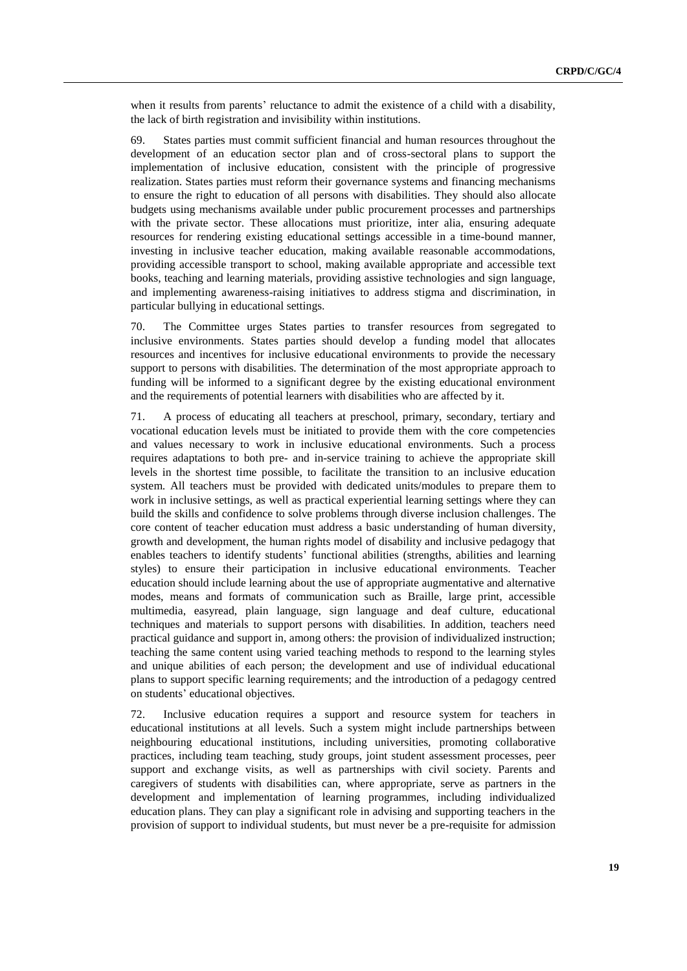when it results from parents' reluctance to admit the existence of a child with a disability, the lack of birth registration and invisibility within institutions.

69. States parties must commit sufficient financial and human resources throughout the development of an education sector plan and of cross-sectoral plans to support the implementation of inclusive education, consistent with the principle of progressive realization. States parties must reform their governance systems and financing mechanisms to ensure the right to education of all persons with disabilities. They should also allocate budgets using mechanisms available under public procurement processes and partnerships with the private sector. These allocations must prioritize, inter alia, ensuring adequate resources for rendering existing educational settings accessible in a time-bound manner, investing in inclusive teacher education, making available reasonable accommodations, providing accessible transport to school, making available appropriate and accessible text books, teaching and learning materials, providing assistive technologies and sign language, and implementing awareness-raising initiatives to address stigma and discrimination, in particular bullying in educational settings.

70. The Committee urges States parties to transfer resources from segregated to inclusive environments. States parties should develop a funding model that allocates resources and incentives for inclusive educational environments to provide the necessary support to persons with disabilities. The determination of the most appropriate approach to funding will be informed to a significant degree by the existing educational environment and the requirements of potential learners with disabilities who are affected by it.

71. A process of educating all teachers at preschool, primary, secondary, tertiary and vocational education levels must be initiated to provide them with the core competencies and values necessary to work in inclusive educational environments. Such a process requires adaptations to both pre- and in-service training to achieve the appropriate skill levels in the shortest time possible, to facilitate the transition to an inclusive education system. All teachers must be provided with dedicated units/modules to prepare them to work in inclusive settings, as well as practical experiential learning settings where they can build the skills and confidence to solve problems through diverse inclusion challenges. The core content of teacher education must address a basic understanding of human diversity, growth and development, the human rights model of disability and inclusive pedagogy that enables teachers to identify students' functional abilities (strengths, abilities and learning styles) to ensure their participation in inclusive educational environments. Teacher education should include learning about the use of appropriate augmentative and alternative modes, means and formats of communication such as Braille, large print, accessible multimedia, easyread, plain language, sign language and deaf culture, educational techniques and materials to support persons with disabilities. In addition, teachers need practical guidance and support in, among others: the provision of individualized instruction; teaching the same content using varied teaching methods to respond to the learning styles and unique abilities of each person; the development and use of individual educational plans to support specific learning requirements; and the introduction of a pedagogy centred on students' educational objectives.

72. Inclusive education requires a support and resource system for teachers in educational institutions at all levels. Such a system might include partnerships between neighbouring educational institutions, including universities, promoting collaborative practices, including team teaching, study groups, joint student assessment processes, peer support and exchange visits, as well as partnerships with civil society. Parents and caregivers of students with disabilities can, where appropriate, serve as partners in the development and implementation of learning programmes, including individualized education plans. They can play a significant role in advising and supporting teachers in the provision of support to individual students, but must never be a pre-requisite for admission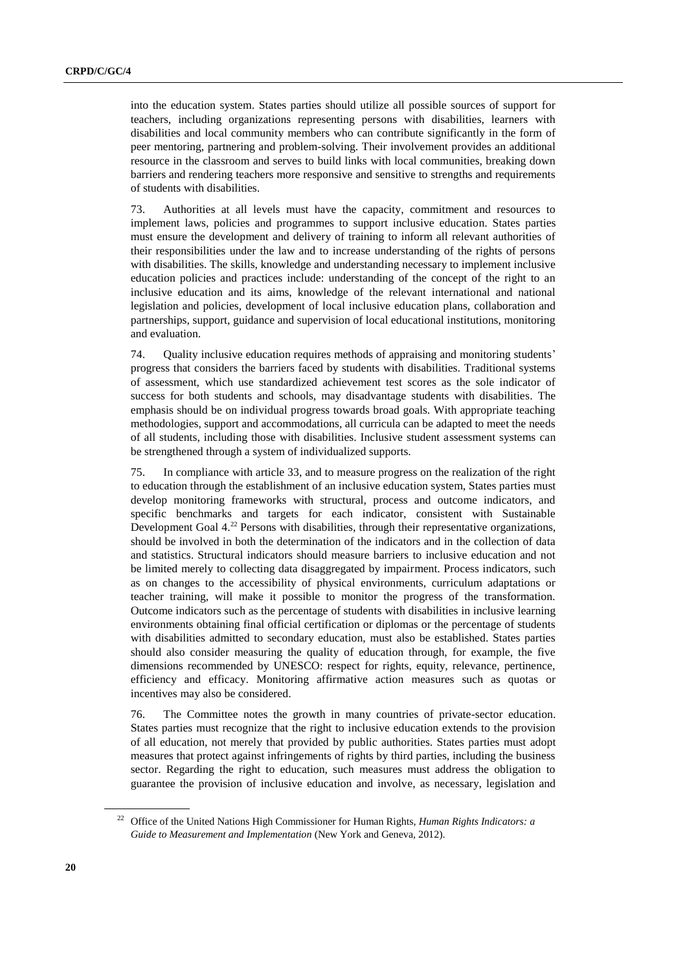into the education system. States parties should utilize all possible sources of support for teachers, including organizations representing persons with disabilities, learners with disabilities and local community members who can contribute significantly in the form of peer mentoring, partnering and problem-solving. Their involvement provides an additional resource in the classroom and serves to build links with local communities, breaking down barriers and rendering teachers more responsive and sensitive to strengths and requirements of students with disabilities.

73. Authorities at all levels must have the capacity, commitment and resources to implement laws, policies and programmes to support inclusive education. States parties must ensure the development and delivery of training to inform all relevant authorities of their responsibilities under the law and to increase understanding of the rights of persons with disabilities. The skills, knowledge and understanding necessary to implement inclusive education policies and practices include: understanding of the concept of the right to an inclusive education and its aims, knowledge of the relevant international and national legislation and policies, development of local inclusive education plans, collaboration and partnerships, support, guidance and supervision of local educational institutions, monitoring and evaluation.

74. Quality inclusive education requires methods of appraising and monitoring students' progress that considers the barriers faced by students with disabilities. Traditional systems of assessment, which use standardized achievement test scores as the sole indicator of success for both students and schools, may disadvantage students with disabilities. The emphasis should be on individual progress towards broad goals. With appropriate teaching methodologies, support and accommodations, all curricula can be adapted to meet the needs of all students, including those with disabilities. Inclusive student assessment systems can be strengthened through a system of individualized supports.

75. In compliance with article 33, and to measure progress on the realization of the right to education through the establishment of an inclusive education system, States parties must develop monitoring frameworks with structural, process and outcome indicators, and specific benchmarks and targets for each indicator, consistent with Sustainable Development Goal  $4<sup>22</sup>$  Persons with disabilities, through their representative organizations, should be involved in both the determination of the indicators and in the collection of data and statistics. Structural indicators should measure barriers to inclusive education and not be limited merely to collecting data disaggregated by impairment. Process indicators, such as on changes to the accessibility of physical environments, curriculum adaptations or teacher training, will make it possible to monitor the progress of the transformation. Outcome indicators such as the percentage of students with disabilities in inclusive learning environments obtaining final official certification or diplomas or the percentage of students with disabilities admitted to secondary education, must also be established. States parties should also consider measuring the quality of education through, for example, the five dimensions recommended by UNESCO: respect for rights, equity, relevance, pertinence, efficiency and efficacy. Monitoring affirmative action measures such as quotas or incentives may also be considered.

76. The Committee notes the growth in many countries of private-sector education. States parties must recognize that the right to inclusive education extends to the provision of all education, not merely that provided by public authorities. States parties must adopt measures that protect against infringements of rights by third parties, including the business sector. Regarding the right to education, such measures must address the obligation to guarantee the provision of inclusive education and involve, as necessary, legislation and

<sup>22</sup> Office of the United Nations High Commissioner for Human Rights, *Human Rights Indicators: a Guide to Measurement and Implementation* (New York and Geneva, 2012).